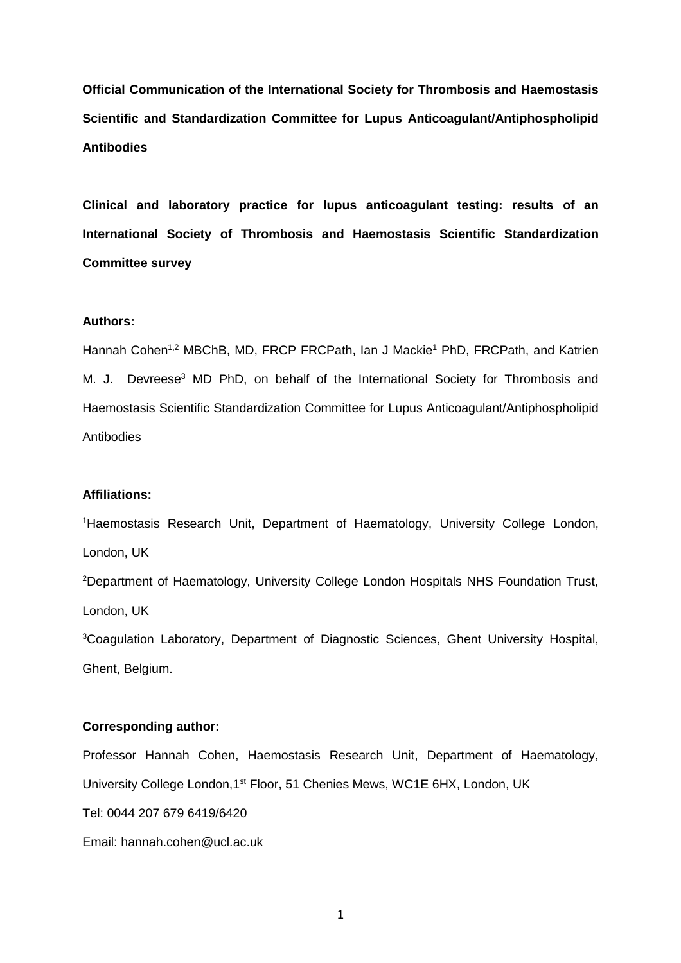**Official Communication of the International Society for Thrombosis and Haemostasis Scientific and Standardization Committee for Lupus Anticoagulant/Antiphospholipid Antibodies**

**Clinical and laboratory practice for lupus anticoagulant testing: results of an International Society of Thrombosis and Haemostasis Scientific Standardization Committee survey**

### **Authors:**

Hannah Cohen<sup>1,2</sup> MBChB, MD, FRCP FRCPath, Ian J Mackie<sup>1</sup> PhD, FRCPath, and Katrien M. J. Devreese<sup>3</sup> MD PhD, on behalf of the International Society for Thrombosis and Haemostasis Scientific Standardization Committee for Lupus Anticoagulant/Antiphospholipid **Antibodies** 

### **Affiliations:**

<sup>1</sup>Haemostasis Research Unit, Department of Haematology, University College London, London, UK

<sup>2</sup>Department of Haematology, University College London Hospitals NHS Foundation Trust, London, UK

<sup>3</sup>Coagulation Laboratory, Department of Diagnostic Sciences, Ghent University Hospital, Ghent, Belgium.

### **Corresponding author:**

Professor Hannah Cohen, Haemostasis Research Unit, Department of Haematology, University College London,1st Floor, 51 Chenies Mews, WC1E 6HX, London, UK

Tel: 0044 207 679 6419/6420

Email: hannah.cohen@ucl.ac.uk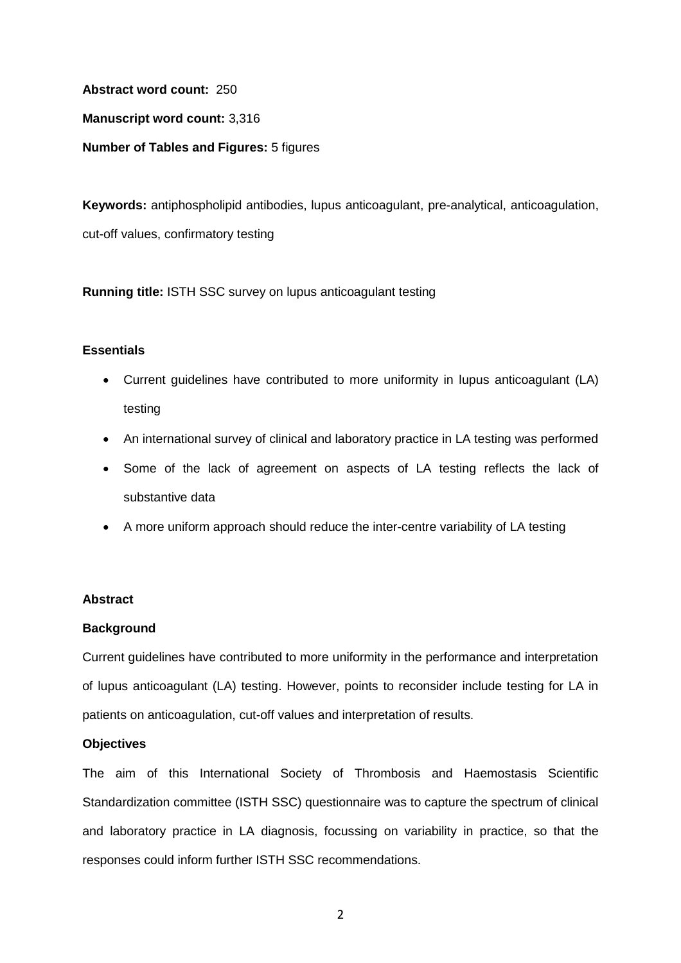**Abstract word count:** 250

**Manuscript word count:** 3,316

**Number of Tables and Figures:** 5 figures

**Keywords:** antiphospholipid antibodies, lupus anticoagulant, pre-analytical, anticoagulation, cut-off values, confirmatory testing

**Running title:** ISTH SSC survey on lupus anticoagulant testing

## **Essentials**

- Current guidelines have contributed to more uniformity in lupus anticoagulant (LA) testing
- An international survey of clinical and laboratory practice in LA testing was performed
- Some of the lack of agreement on aspects of LA testing reflects the lack of substantive data
- A more uniform approach should reduce the inter-centre variability of LA testing

## **Abstract**

## **Background**

Current guidelines have contributed to more uniformity in the performance and interpretation of lupus anticoagulant (LA) testing. However, points to reconsider include testing for LA in patients on anticoagulation, cut-off values and interpretation of results.

## **Objectives**

The aim of this International Society of Thrombosis and Haemostasis Scientific Standardization committee (ISTH SSC) questionnaire was to capture the spectrum of clinical and laboratory practice in LA diagnosis, focussing on variability in practice, so that the responses could inform further ISTH SSC recommendations.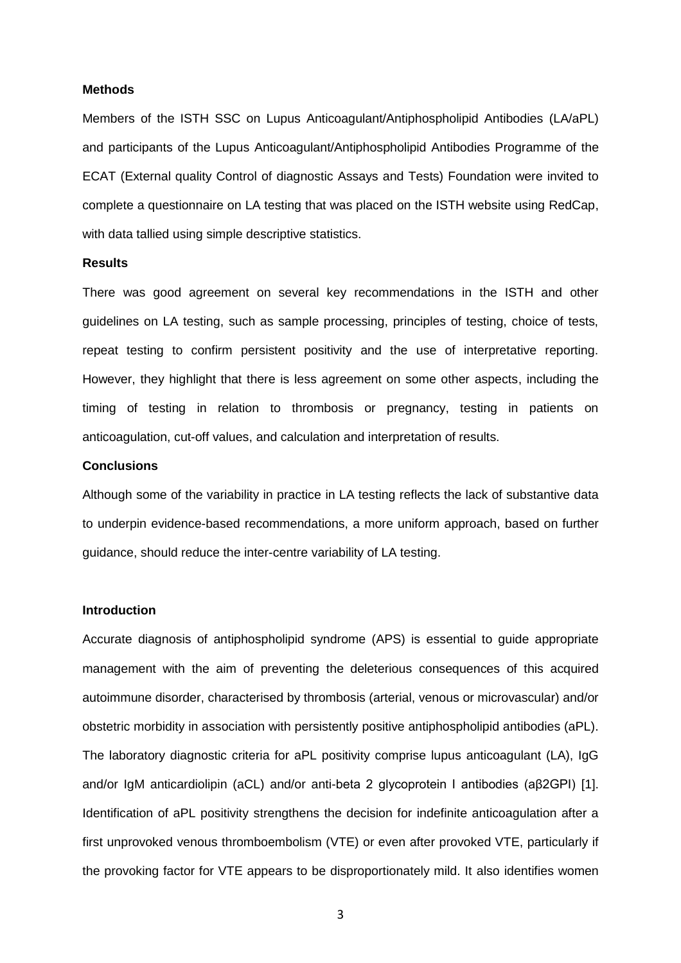#### **Methods**

Members of the ISTH SSC on Lupus Anticoagulant/Antiphospholipid Antibodies (LA/aPL) and participants of the Lupus Anticoagulant/Antiphospholipid Antibodies Programme of the ECAT (External quality Control of diagnostic Assays and Tests) Foundation were invited to complete a questionnaire on LA testing that was placed on the ISTH website using RedCap, with data tallied using simple descriptive statistics.

#### **Results**

There was good agreement on several key recommendations in the ISTH and other guidelines on LA testing, such as sample processing, principles of testing, choice of tests, repeat testing to confirm persistent positivity and the use of interpretative reporting. However, they highlight that there is less agreement on some other aspects, including the timing of testing in relation to thrombosis or pregnancy, testing in patients on anticoagulation, cut-off values, and calculation and interpretation of results.

#### **Conclusions**

Although some of the variability in practice in LA testing reflects the lack of substantive data to underpin evidence-based recommendations, a more uniform approach, based on further guidance, should reduce the inter-centre variability of LA testing.

#### **Introduction**

Accurate diagnosis of antiphospholipid syndrome (APS) is essential to guide appropriate management with the aim of preventing the deleterious consequences of this acquired autoimmune disorder, characterised by thrombosis (arterial, venous or microvascular) and/or obstetric morbidity in association with persistently positive antiphospholipid antibodies (aPL). The laboratory diagnostic criteria for aPL positivity comprise lupus anticoagulant (LA), IgG and/or IgM anticardiolipin (aCL) and/or anti-beta 2 glycoprotein I antibodies (aβ2GPI) [1]. Identification of aPL positivity strengthens the decision for indefinite anticoagulation after a first unprovoked venous thromboembolism (VTE) or even after provoked VTE, particularly if the provoking factor for VTE appears to be disproportionately mild. It also identifies women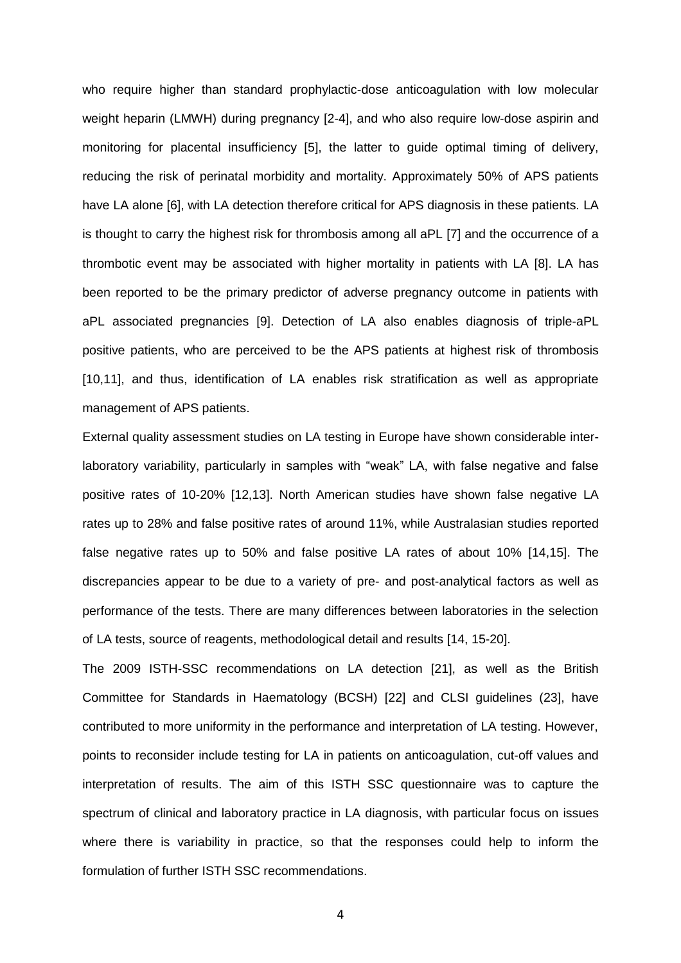who require higher than standard prophylactic-dose anticoagulation with low molecular weight heparin (LMWH) during pregnancy [2-4], and who also require low-dose aspirin and monitoring for placental insufficiency [5], the latter to guide optimal timing of delivery, reducing the risk of perinatal morbidity and mortality. Approximately 50% of APS patients have LA alone [6], with LA detection therefore critical for APS diagnosis in these patients. LA is thought to carry the highest risk for thrombosis among all aPL [7] and the occurrence of a thrombotic event may be associated with higher mortality in patients with LA [8]. LA has been reported to be the primary predictor of adverse pregnancy outcome in patients with aPL associated pregnancies [9]. Detection of LA also enables diagnosis of triple-aPL positive patients, who are perceived to be the APS patients at highest risk of thrombosis [10,11], and thus, identification of LA enables risk stratification as well as appropriate management of APS patients.

External quality assessment studies on LA testing in Europe have shown considerable interlaboratory variability, particularly in samples with "weak" LA, with false negative and false positive rates of 10-20% [12,13]. North American studies have shown false negative LA rates up to 28% and false positive rates of around 11%, while Australasian studies reported false negative rates up to 50% and false positive LA rates of about 10% [14,15]. The discrepancies appear to be due to a variety of pre- and post-analytical factors as well as performance of the tests. There are many differences between laboratories in the selection of LA tests, source of reagents, methodological detail and results [14, 15-20].

The 2009 ISTH-SSC recommendations on LA detection [21], as well as the British Committee for Standards in Haematology (BCSH) [22] and CLSI guidelines (23], have contributed to more uniformity in the performance and interpretation of LA testing. However, points to reconsider include testing for LA in patients on anticoagulation, cut-off values and interpretation of results. The aim of this ISTH SSC questionnaire was to capture the spectrum of clinical and laboratory practice in LA diagnosis, with particular focus on issues where there is variability in practice, so that the responses could help to inform the formulation of further ISTH SSC recommendations.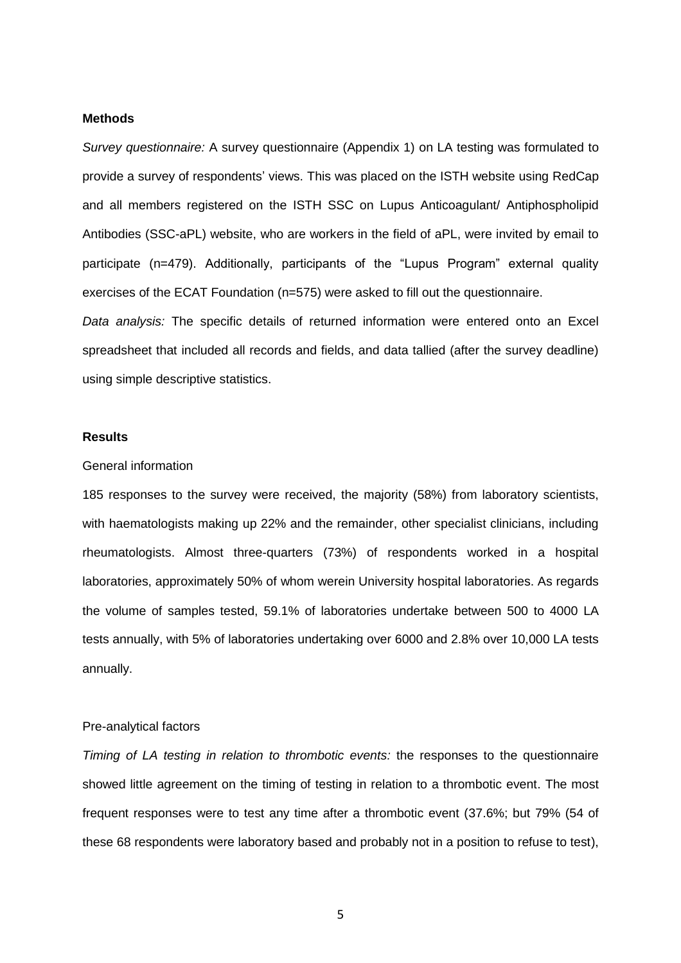#### **Methods**

*Survey questionnaire:* A survey questionnaire (Appendix 1) on LA testing was formulated to provide a survey of respondents' views. This was placed on the ISTH website using RedCap and all members registered on the ISTH SSC on Lupus Anticoagulant/ Antiphospholipid Antibodies (SSC-aPL) website, who are workers in the field of aPL, were invited by email to participate (n=479). Additionally, participants of the "Lupus Program" external quality exercises of the ECAT Foundation (n=575) were asked to fill out the questionnaire.

*Data analysis:* The specific details of returned information were entered onto an Excel spreadsheet that included all records and fields, and data tallied (after the survey deadline) using simple descriptive statistics.

#### **Results**

#### General information

185 responses to the survey were received, the majority (58%) from laboratory scientists, with haematologists making up 22% and the remainder, other specialist clinicians, including rheumatologists. Almost three-quarters (73%) of respondents worked in a hospital laboratories, approximately 50% of whom werein University hospital laboratories. As regards the volume of samples tested, 59.1% of laboratories undertake between 500 to 4000 LA tests annually, with 5% of laboratories undertaking over 6000 and 2.8% over 10,000 LA tests annually.

### Pre-analytical factors

*Timing of LA testing in relation to thrombotic events:* the responses to the questionnaire showed little agreement on the timing of testing in relation to a thrombotic event. The most frequent responses were to test any time after a thrombotic event (37.6%; but 79% (54 of these 68 respondents were laboratory based and probably not in a position to refuse to test),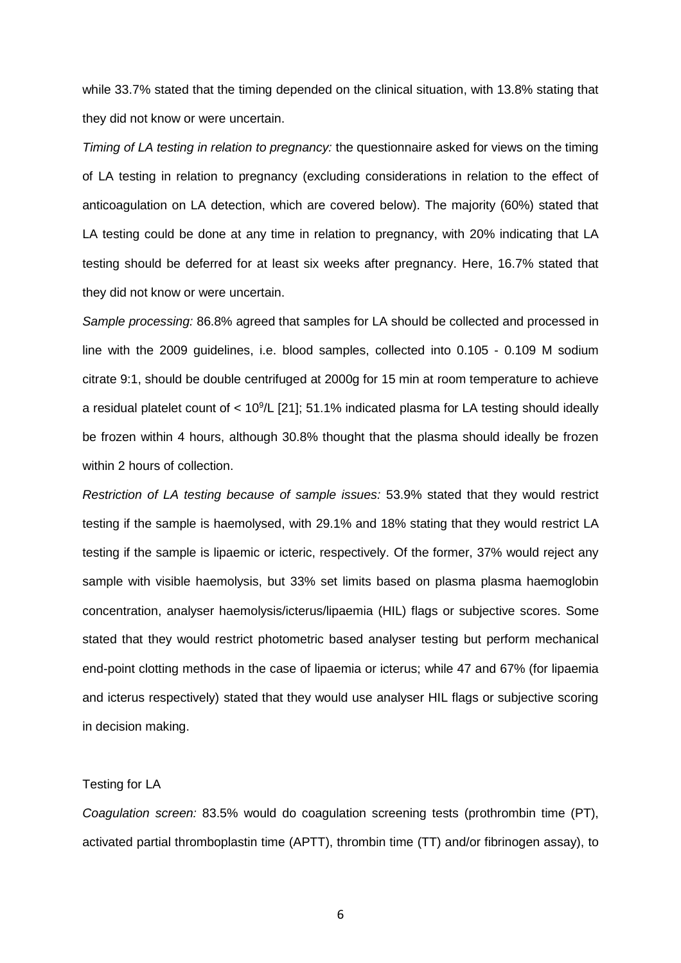while 33.7% stated that the timing depended on the clinical situation, with 13.8% stating that they did not know or were uncertain.

*Timing of LA testing in relation to pregnancy:* the questionnaire asked for views on the timing of LA testing in relation to pregnancy (excluding considerations in relation to the effect of anticoagulation on LA detection, which are covered below). The majority (60%) stated that LA testing could be done at any time in relation to pregnancy, with 20% indicating that LA testing should be deferred for at least six weeks after pregnancy. Here, 16.7% stated that they did not know or were uncertain.

*Sample processing:* 86.8% agreed that samples for LA should be collected and processed in line with the 2009 guidelines, i.e. blood samples, collected into 0.105 - 0.109 M sodium citrate 9:1, should be double centrifuged at 2000g for 15 min at room temperature to achieve a residual platelet count of < 10<sup>9</sup>/L [21]; 51.1% indicated plasma for LA testing should ideally be frozen within 4 hours, although 30.8% thought that the plasma should ideally be frozen within 2 hours of collection.

*Restriction of LA testing because of sample issues:* 53.9% stated that they would restrict testing if the sample is haemolysed, with 29.1% and 18% stating that they would restrict LA testing if the sample is lipaemic or icteric, respectively. Of the former, 37% would reject any sample with visible haemolysis, but 33% set limits based on plasma plasma haemoglobin concentration, analyser haemolysis/icterus/lipaemia (HIL) flags or subjective scores. Some stated that they would restrict photometric based analyser testing but perform mechanical end-point clotting methods in the case of lipaemia or icterus; while 47 and 67% (for lipaemia and icterus respectively) stated that they would use analyser HIL flags or subjective scoring in decision making.

### Testing for LA

*Coagulation screen:* 83.5% would do coagulation screening tests (prothrombin time (PT), activated partial thromboplastin time (APTT), thrombin time (TT) and/or fibrinogen assay), to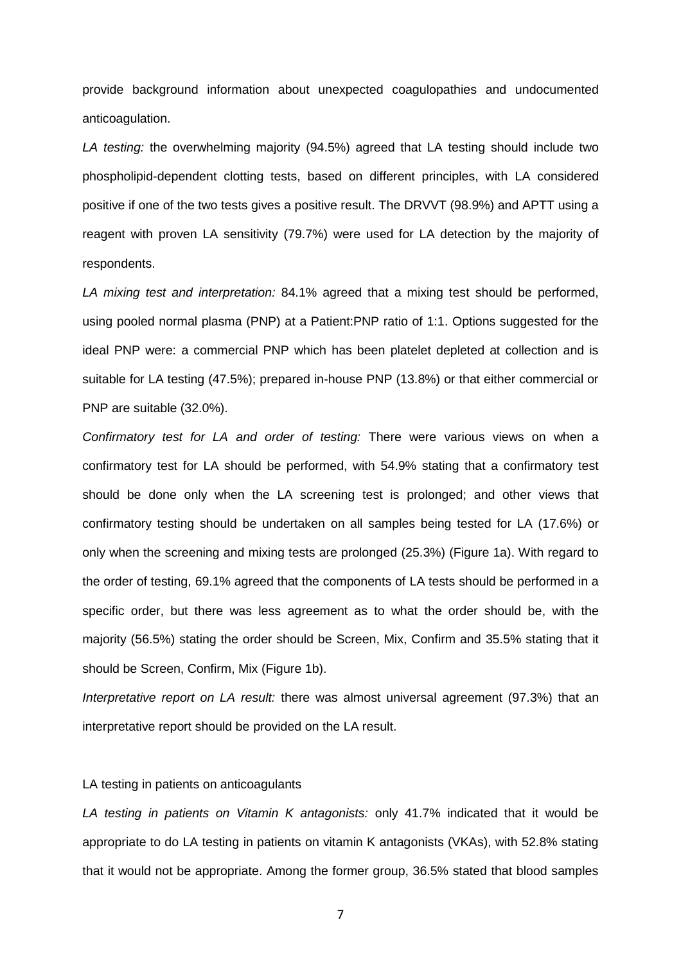provide background information about unexpected coagulopathies and undocumented anticoagulation.

*LA testing:* the overwhelming majority (94.5%) agreed that LA testing should include two phospholipid-dependent clotting tests, based on different principles, with LA considered positive if one of the two tests gives a positive result. The DRVVT (98.9%) and APTT using a reagent with proven LA sensitivity (79.7%) were used for LA detection by the majority of respondents.

*LA mixing test and interpretation:* 84.1% agreed that a mixing test should be performed, using pooled normal plasma (PNP) at a Patient:PNP ratio of 1:1. Options suggested for the ideal PNP were: a commercial PNP which has been platelet depleted at collection and is suitable for LA testing (47.5%); prepared in-house PNP (13.8%) or that either commercial or PNP are suitable (32.0%).

*Confirmatory test for LA and order of testing:* There were various views on when a confirmatory test for LA should be performed, with 54.9% stating that a confirmatory test should be done only when the LA screening test is prolonged; and other views that confirmatory testing should be undertaken on all samples being tested for LA (17.6%) or only when the screening and mixing tests are prolonged (25.3%) (Figure 1a). With regard to the order of testing, 69.1% agreed that the components of LA tests should be performed in a specific order, but there was less agreement as to what the order should be, with the majority (56.5%) stating the order should be Screen, Mix, Confirm and 35.5% stating that it should be Screen, Confirm, Mix (Figure 1b).

*Interpretative report on LA result:* there was almost universal agreement (97.3%) that an interpretative report should be provided on the LA result.

### LA testing in patients on anticoagulants

*LA testing in patients on Vitamin K antagonists:* only 41.7% indicated that it would be appropriate to do LA testing in patients on vitamin K antagonists (VKAs), with 52.8% stating that it would not be appropriate. Among the former group, 36.5% stated that blood samples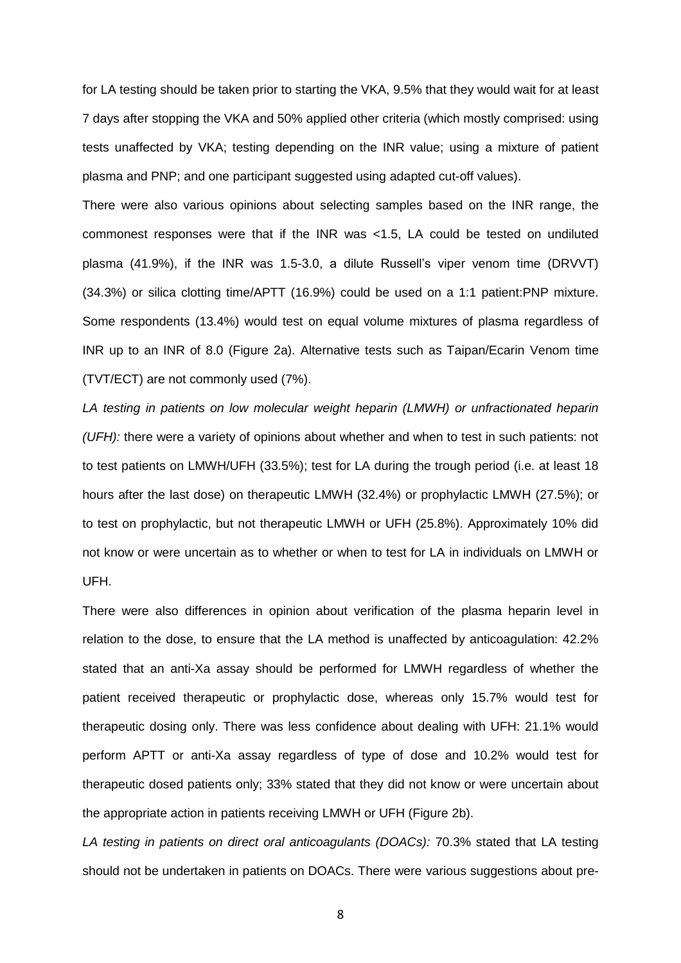for LA testing should be taken prior to starting the VKA, 9.5% that they would wait for at least 7 days after stopping the VKA and 50% applied other criteria (which mostly comprised: using tests unaffected by VKA; testing depending on the INR value; using a mixture of patient plasma and PNP; and one participant suggested using adapted cut-off values).

There were also various opinions about selecting samples based on the INR range, the commonest responses were that if the INR was <1.5, LA could be tested on undiluted plasma (41.9%), if the INR was 1.5-3.0, a dilute Russell's viper venom time (DRVVT) (34.3%) or silica clotting time/APTT (16.9%) could be used on a 1:1 patient:PNP mixture. Some respondents (13.4%) would test on equal volume mixtures of plasma regardless of INR up to an INR of 8.0 (Figure 2a). Alternative tests such as Taipan/Ecarin Venom time (TVT/ECT) are not commonly used (7%).

*LA testing in patients on low molecular weight heparin (LMWH) or unfractionated heparin (UFH):* there were a variety of opinions about whether and when to test in such patients: not to test patients on LMWH/UFH (33.5%); test for LA during the trough period (i.e. at least 18 hours after the last dose) on therapeutic LMWH (32.4%) or prophylactic LMWH (27.5%); or to test on prophylactic, but not therapeutic LMWH or UFH (25.8%). Approximately 10% did not know or were uncertain as to whether or when to test for LA in individuals on LMWH or UFH.

There were also differences in opinion about verification of the plasma heparin level in relation to the dose, to ensure that the LA method is unaffected by anticoagulation: 42.2% stated that an anti-Xa assay should be performed for LMWH regardless of whether the patient received therapeutic or prophylactic dose, whereas only 15.7% would test for therapeutic dosing only. There was less confidence about dealing with UFH: 21.1% would perform APTT or anti-Xa assay regardless of type of dose and 10.2% would test for therapeutic dosed patients only; 33% stated that they did not know or were uncertain about the appropriate action in patients receiving LMWH or UFH (Figure 2b).

*LA testing in patients on direct oral anticoagulants (DOACs):* 70.3% stated that LA testing should not be undertaken in patients on DOACs. There were various suggestions about pre-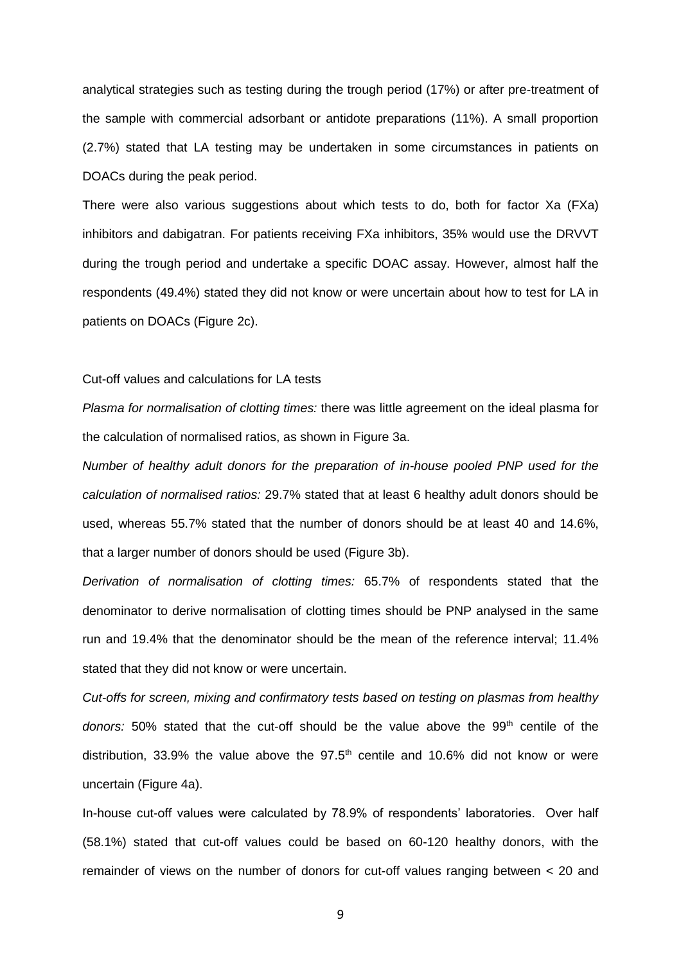analytical strategies such as testing during the trough period (17%) or after pre-treatment of the sample with commercial adsorbant or antidote preparations (11%). A small proportion (2.7%) stated that LA testing may be undertaken in some circumstances in patients on DOACs during the peak period.

There were also various suggestions about which tests to do, both for factor Xa (FXa) inhibitors and dabigatran. For patients receiving FXa inhibitors, 35% would use the DRVVT during the trough period and undertake a specific DOAC assay. However, almost half the respondents (49.4%) stated they did not know or were uncertain about how to test for LA in patients on DOACs (Figure 2c).

#### Cut-off values and calculations for LA tests

*Plasma for normalisation of clotting times:* there was little agreement on the ideal plasma for the calculation of normalised ratios, as shown in Figure 3a.

*Number of healthy adult donors for the preparation of in-house pooled PNP used for the calculation of normalised ratios:* 29.7% stated that at least 6 healthy adult donors should be used, whereas 55.7% stated that the number of donors should be at least 40 and 14.6%, that a larger number of donors should be used (Figure 3b).

*Derivation of normalisation of clotting times:* 65.7% of respondents stated that the denominator to derive normalisation of clotting times should be PNP analysed in the same run and 19.4% that the denominator should be the mean of the reference interval; 11.4% stated that they did not know or were uncertain.

*Cut-offs for screen, mixing and confirmatory tests based on testing on plasmas from healthy*  donors: 50% stated that the cut-off should be the value above the 99<sup>th</sup> centile of the distribution, 33.9% the value above the  $97.5<sup>th</sup>$  centile and 10.6% did not know or were uncertain (Figure 4a).

In-house cut-off values were calculated by 78.9% of respondents' laboratories. Over half (58.1%) stated that cut-off values could be based on 60-120 healthy donors, with the remainder of views on the number of donors for cut-off values ranging between < 20 and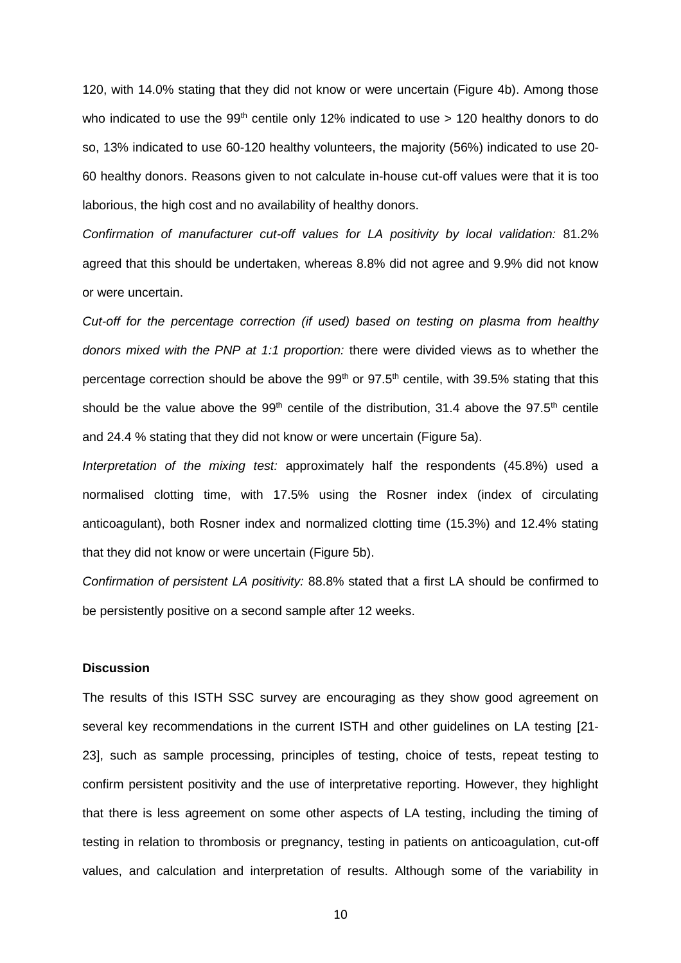120, with 14.0% stating that they did not know or were uncertain (Figure 4b). Among those who indicated to use the  $99<sup>th</sup>$  centile only 12% indicated to use > 120 healthy donors to do so, 13% indicated to use 60-120 healthy volunteers, the majority (56%) indicated to use 20- 60 healthy donors. Reasons given to not calculate in-house cut-off values were that it is too laborious, the high cost and no availability of healthy donors.

*Confirmation of manufacturer cut-off values for LA positivity by local validation:* 81.2% agreed that this should be undertaken, whereas 8.8% did not agree and 9.9% did not know or were uncertain.

*Cut-off for the percentage correction (if used) based on testing on plasma from healthy donors mixed with the PNP at 1:1 proportion:* there were divided views as to whether the percentage correction should be above the  $99<sup>th</sup>$  or  $97.5<sup>th</sup>$  centile, with 39.5% stating that this should be the value above the  $99<sup>th</sup>$  centile of the distribution, 31.4 above the 97.5<sup>th</sup> centile and 24.4 % stating that they did not know or were uncertain (Figure 5a).

*Interpretation of the mixing test:* approximately half the respondents (45.8%) used a normalised clotting time, with 17.5% using the Rosner index (index of circulating anticoagulant), both Rosner index and normalized clotting time (15.3%) and 12.4% stating that they did not know or were uncertain (Figure 5b).

*Confirmation of persistent LA positivity:* 88.8% stated that a first LA should be confirmed to be persistently positive on a second sample after 12 weeks.

### **Discussion**

The results of this ISTH SSC survey are encouraging as they show good agreement on several key recommendations in the current ISTH and other guidelines on LA testing [21- 23], such as sample processing, principles of testing, choice of tests, repeat testing to confirm persistent positivity and the use of interpretative reporting. However, they highlight that there is less agreement on some other aspects of LA testing, including the timing of testing in relation to thrombosis or pregnancy, testing in patients on anticoagulation, cut-off values, and calculation and interpretation of results. Although some of the variability in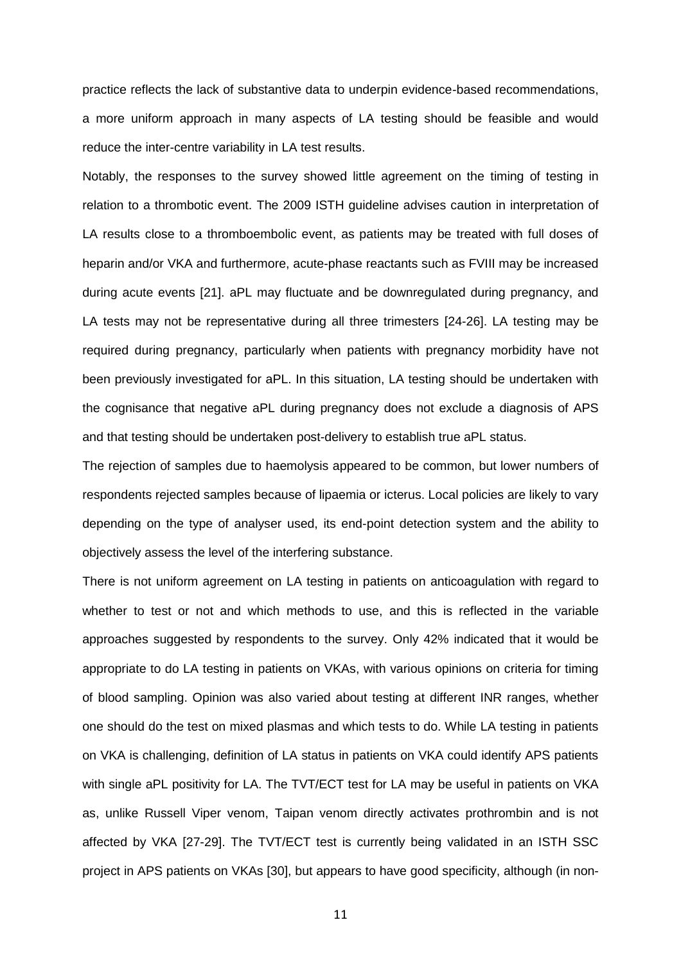practice reflects the lack of substantive data to underpin evidence-based recommendations, a more uniform approach in many aspects of LA testing should be feasible and would reduce the inter-centre variability in LA test results.

Notably, the responses to the survey showed little agreement on the timing of testing in relation to a thrombotic event. The 2009 ISTH guideline advises caution in interpretation of LA results close to a thromboembolic event, as patients may be treated with full doses of heparin and/or VKA and furthermore, acute-phase reactants such as FVIII may be increased during acute events [21]. aPL may fluctuate and be downregulated during pregnancy, and LA tests may not be representative during all three trimesters [24-26]. LA testing may be required during pregnancy, particularly when patients with pregnancy morbidity have not been previously investigated for aPL. In this situation, LA testing should be undertaken with the cognisance that negative aPL during pregnancy does not exclude a diagnosis of APS and that testing should be undertaken post-delivery to establish true aPL status.

The rejection of samples due to haemolysis appeared to be common, but lower numbers of respondents rejected samples because of lipaemia or icterus. Local policies are likely to vary depending on the type of analyser used, its end-point detection system and the ability to objectively assess the level of the interfering substance.

There is not uniform agreement on LA testing in patients on anticoagulation with regard to whether to test or not and which methods to use, and this is reflected in the variable approaches suggested by respondents to the survey. Only 42% indicated that it would be appropriate to do LA testing in patients on VKAs, with various opinions on criteria for timing of blood sampling. Opinion was also varied about testing at different INR ranges, whether one should do the test on mixed plasmas and which tests to do. While LA testing in patients on VKA is challenging, definition of LA status in patients on VKA could identify APS patients with single aPL positivity for LA. The TVT/ECT test for LA may be useful in patients on VKA as, unlike Russell Viper venom, Taipan venom directly activates prothrombin and is not affected by VKA [27-29]. The TVT/ECT test is currently being validated in an ISTH SSC project in APS patients on VKAs [30], but appears to have good specificity, although (in non-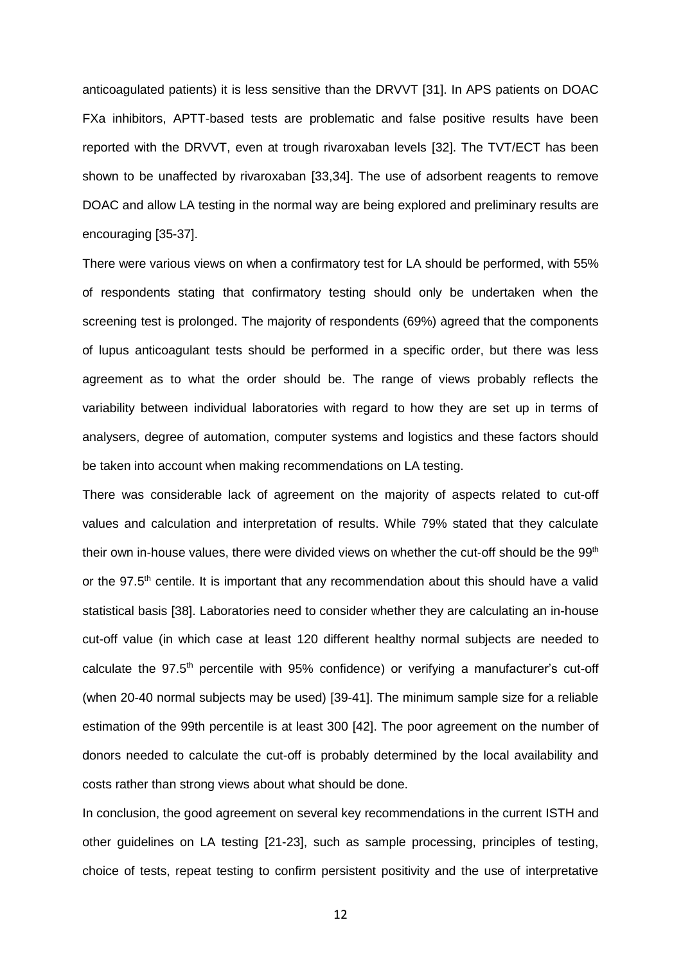anticoagulated patients) it is less sensitive than the DRVVT [31]. In APS patients on DOAC FXa inhibitors, APTT-based tests are problematic and false positive results have been reported with the DRVVT, even at trough rivaroxaban levels [32]. The TVT/ECT has been shown to be unaffected by rivaroxaban [33,34]. The use of adsorbent reagents to remove DOAC and allow LA testing in the normal way are being explored and preliminary results are encouraging [35-37].

There were various views on when a confirmatory test for LA should be performed, with 55% of respondents stating that confirmatory testing should only be undertaken when the screening test is prolonged. The majority of respondents (69%) agreed that the components of lupus anticoagulant tests should be performed in a specific order, but there was less agreement as to what the order should be. The range of views probably reflects the variability between individual laboratories with regard to how they are set up in terms of analysers, degree of automation, computer systems and logistics and these factors should be taken into account when making recommendations on LA testing.

There was considerable lack of agreement on the majority of aspects related to cut-off values and calculation and interpretation of results. While 79% stated that they calculate their own in-house values, there were divided views on whether the cut-off should be the 99<sup>th</sup> or the 97.5<sup>th</sup> centile. It is important that any recommendation about this should have a valid statistical basis [38]. Laboratories need to consider whether they are calculating an in-house cut-off value (in which case at least 120 different healthy normal subjects are needed to calculate the 97.5th percentile with 95% confidence) or verifying a manufacturer's cut-off (when 20-40 normal subjects may be used) [39-41]. The minimum sample size for a reliable estimation of the 99th percentile is at least 300 [42]. The poor agreement on the number of donors needed to calculate the cut-off is probably determined by the local availability and costs rather than strong views about what should be done.

In conclusion, the good agreement on several key recommendations in the current ISTH and other guidelines on LA testing [21-23], such as sample processing, principles of testing, choice of tests, repeat testing to confirm persistent positivity and the use of interpretative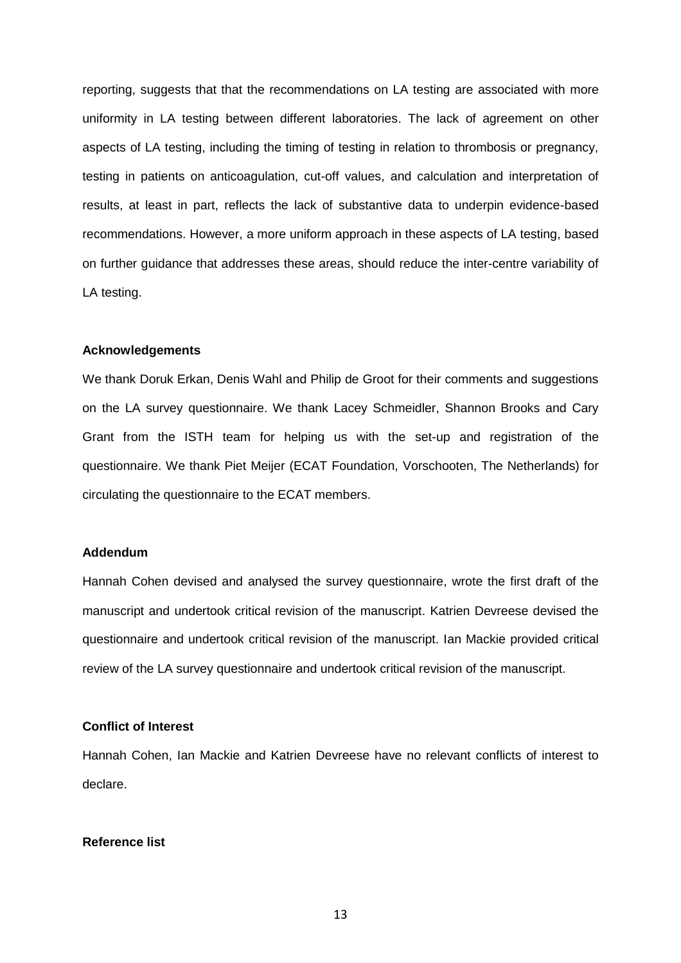reporting, suggests that that the recommendations on LA testing are associated with more uniformity in LA testing between different laboratories. The lack of agreement on other aspects of LA testing, including the timing of testing in relation to thrombosis or pregnancy, testing in patients on anticoagulation, cut-off values, and calculation and interpretation of results, at least in part, reflects the lack of substantive data to underpin evidence-based recommendations. However, a more uniform approach in these aspects of LA testing, based on further guidance that addresses these areas, should reduce the inter-centre variability of LA testing.

#### **Acknowledgements**

We thank Doruk Erkan, Denis Wahl and Philip de Groot for their comments and suggestions on the LA survey questionnaire. We thank Lacey Schmeidler, Shannon Brooks and Cary Grant from the ISTH team for helping us with the set-up and registration of the questionnaire. We thank Piet Meijer (ECAT Foundation, Vorschooten, The Netherlands) for circulating the questionnaire to the ECAT members.

### **Addendum**

Hannah Cohen devised and analysed the survey questionnaire, wrote the first draft of the manuscript and undertook critical revision of the manuscript. Katrien Devreese devised the questionnaire and undertook critical revision of the manuscript. Ian Mackie provided critical review of the LA survey questionnaire and undertook critical revision of the manuscript.

#### **Conflict of Interest**

Hannah Cohen, Ian Mackie and Katrien Devreese have no relevant conflicts of interest to declare.

### **Reference list**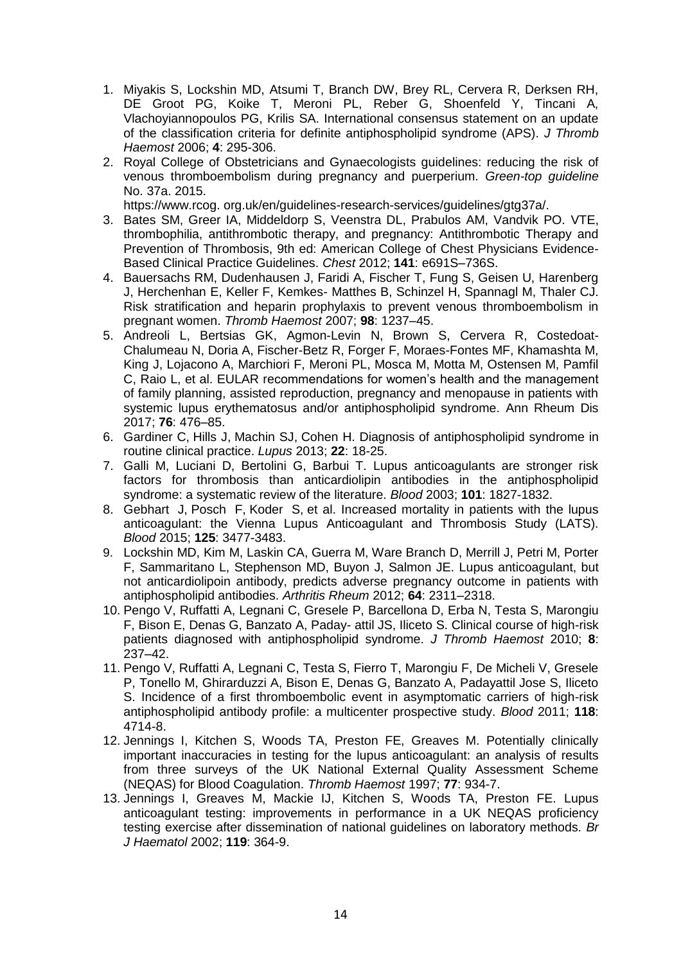- 1. Miyakis S, Lockshin MD, Atsumi T, Branch DW, Brey RL, Cervera R, Derksen RH, DE Groot PG, Koike T, Meroni PL, Reber G, Shoenfeld Y, Tincani A, Vlachoyiannopoulos PG, Krilis SA. International consensus statement on an update of the classification criteria for definite antiphospholipid syndrome (APS). *J Thromb Haemost* 2006; **4**: 295-306.
- 2. Royal College of Obstetricians and Gynaecologists guidelines: reducing the risk of venous thromboembolism during pregnancy and puerperium. *Green-top guideline* No. 37a. 2015.

https://www.rcog. org.uk/en/guidelines-research-services/guidelines/gtg37a/.

- 3. Bates SM, Greer IA, Middeldorp S, Veenstra DL, Prabulos AM, Vandvik PO. VTE, thrombophilia, antithrombotic therapy, and pregnancy: Antithrombotic Therapy and Prevention of Thrombosis, 9th ed: American College of Chest Physicians Evidence-Based Clinical Practice Guidelines. *Chest* 2012; **141**: e691S–736S.
- 4. Bauersachs RM, Dudenhausen J, Faridi A, Fischer T, Fung S, Geisen U, Harenberg J, Herchenhan E, Keller F, Kemkes- Matthes B, Schinzel H, Spannagl M, Thaler CJ. Risk stratification and heparin prophylaxis to prevent venous thromboembolism in pregnant women. *Thromb Haemost* 2007; **98**: 1237–45.
- 5. Andreoli L, Bertsias GK, Agmon-Levin N, Brown S, Cervera R, Costedoat-Chalumeau N, Doria A, Fischer-Betz R, Forger F, Moraes-Fontes MF, Khamashta M, King J, Lojacono A, Marchiori F, Meroni PL, Mosca M, Motta M, Ostensen M, Pamfil C, Raio L, et al. EULAR recommendations for women's health and the management of family planning, assisted reproduction, pregnancy and menopause in patients with systemic lupus erythematosus and/or antiphospholipid syndrome. Ann Rheum Dis 2017; **76**: 476–85.
- 6. [Gardiner C,](https://www.ncbi.nlm.nih.gov/pubmed/?term=Gardiner%20C%5BAuthor%5D&cauthor=true&cauthor_uid=22988029) [Hills J,](https://www.ncbi.nlm.nih.gov/pubmed/?term=Hills%20J%5BAuthor%5D&cauthor=true&cauthor_uid=22988029) [Machin SJ,](https://www.ncbi.nlm.nih.gov/pubmed/?term=Machin%20SJ%5BAuthor%5D&cauthor=true&cauthor_uid=22988029) [Cohen H.](https://www.ncbi.nlm.nih.gov/pubmed/?term=Cohen%20H%5BAuthor%5D&cauthor=true&cauthor_uid=22988029) Diagnosis of antiphospholipid syndrome in routine clinical practice. *Lupus* 2013; **22**: 18-25.
- 7. Galli M, Luciani D, Bertolini G, Barbui T. Lupus anticoagulants are stronger risk factors for thrombosis than anticardiolipin antibodies in the antiphospholipid syndrome: a systematic review of the literature. *Blood* 2003; **101**: 1827-1832.
- 8. Gebhart J, Posch F, Koder S, et al. Increased mortality in patients with the lupus anticoagulant: the Vienna Lupus Anticoagulant and Thrombosis Study (LATS). *Blood* 2015; **125**: 3477-3483.
- 9. Lockshin MD, Kim M, Laskin CA, Guerra M, Ware Branch D, Merrill J, Petri M, Porter F, Sammaritano L, Stephenson MD, Buyon J, Salmon JE. Lupus anticoagulant, but not anticardiolipoin antibody, predicts adverse pregnancy outcome in patients with antiphospholipid antibodies. *Arthritis Rheum* 2012; **64**: 2311–2318.
- 10. Pengo V, Ruffatti A, Legnani C, Gresele P, Barcellona D, Erba N, Testa S, Marongiu F, Bison E, Denas G, Banzato A, Paday- attil JS, Iliceto S. Clinical course of high-risk patients diagnosed with antiphospholipid syndrome. *J Thromb Haemost* 2010; **8**: 237–42.
- 11. Pengo V, Ruffatti A, Legnani C, Testa S, Fierro T, Marongiu F, De Micheli V, Gresele P, Tonello M, Ghirarduzzi A, Bison E, Denas G, Banzato A, Padayattil Jose S, Iliceto S. Incidence of a first [thromboembolic event in asymptomatic carriers of high-risk](https://www.ncbi.nlm.nih.gov/pubmed/21765019)  [antiphospholipid antibody profile: a multicenter prospective study.](https://www.ncbi.nlm.nih.gov/pubmed/21765019) *Blood* 2011; **118**: 4714-8.
- 12. Jennings I, Kitchen S, Woods TA, Preston FE, Greaves M. Potentially clinically important inaccuracies in testing for the lupus anticoagulant: an analysis of results from three surveys of the UK National External Quality Assessment Scheme (NEQAS) for Blood Coagulation. *Thromb Haemost* 1997; **77**: 934-7.
- 13. Jennings I, Greaves M, Mackie IJ, Kitchen S, Woods TA, Preston FE. Lupus anticoagulant testing: improvements in performance in a UK NEQAS proficiency testing exercise after dissemination of national guidelines on laboratory methods. *Br J Haematol* 2002; **119**: 364-9.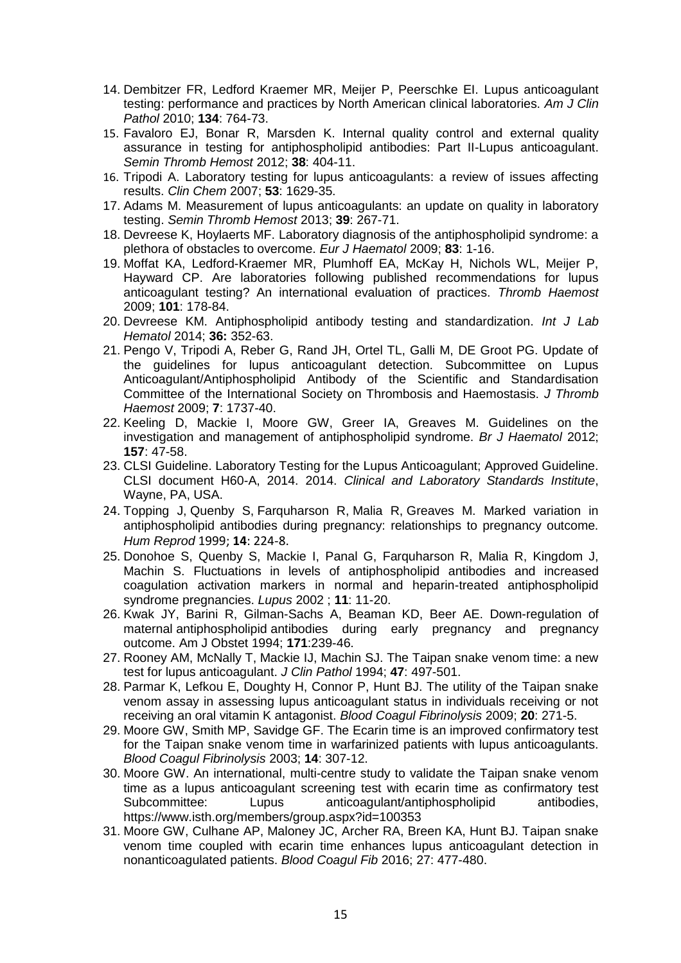- 14. Dembitzer FR, Ledford Kraemer MR, Meijer P, Peerschke EI. Lupus anticoagulant testing: performance and practices by North American clinical laboratories. *Am J Clin Pathol* 2010; **134**: 764-73.
- 15. Favaloro EJ, Bonar R, Marsden K. Internal quality control and external quality assurance in testing for antiphospholipid antibodies: Part II-Lupus anticoagulant. *Semin Thromb Hemost* 2012; **38**: 404-11.
- 16. Tripodi A. Laboratory testing for lupus anticoagulants: a review of issues affecting results. *Clin Chem* 2007; **53**: 1629-35.
- 17. Adams M. Measurement of lupus anticoagulants: an update on quality in laboratory testing. *Semin Thromb Hemost* 2013; **39**: 267-71.
- 18. Devreese K, Hoylaerts MF. Laboratory diagnosis of the antiphospholipid syndrome: a plethora of obstacles to overcome. *Eur J Haematol* 2009; **83**: 1-16.
- 19. Moffat KA, Ledford-Kraemer MR, Plumhoff EA, McKay H, Nichols WL, Meijer P, Hayward CP. Are laboratories following published recommendations for lupus anticoagulant testing? An international evaluation of practices. *Thromb Haemost* 2009; **101**: 178-84.
- 20. Devreese KM. Antiphospholipid antibody testing and standardization. *Int J Lab Hematol* 2014; **36:** 352-63.
- 21. Pengo V, Tripodi A, Reber G, Rand JH, Ortel TL, Galli M, DE Groot PG. Update of the guidelines for lupus anticoagulant detection. Subcommittee on Lupus Anticoagulant/Antiphospholipid Antibody of the Scientific and Standardisation Committee of the International Society on Thrombosis and Haemostasis. *J Thromb Haemost* 2009; **7**: 1737-40.
- 22. Keeling D, Mackie I, Moore GW, Greer IA, Greaves M. Guidelines on the investigation and management of antiphospholipid syndrome. *Br J Haematol* 2012; **157**: 47-58.
- 23. CLSI Guideline. Laboratory Testing for the Lupus Anticoagulant; Approved Guideline. CLSI document H60-A, 2014. 2014. *Clinical and Laboratory Standards Institute*, Wayne, PA, USA.
- 24. Topping J, Quenby S, Farquharson R, Malia R, Greaves M. Marked variation in antiphospholipid antibodies during pregnancy: relationships to pregnancy outcome. *Hum Reprod* 1999; **14**: 224-8.
- 25. Donohoe S, Quenby S, Mackie I, Panal G, Farquharson R, Malia R, Kingdom J, Machin S. Fluctuations in levels of antiphospholipid antibodies and increased coagulation activation markers in normal and heparin-treated antiphospholipid syndrome pregnancies. *Lupus* 2002 ; **11**: 11-20.
- 26. Kwak JY, Barini R, Gilman-Sachs A, Beaman KD, Beer AE. Down-regulation of maternal antiphospholipid antibodies during early pregnancy and pregnancy outcome. Am J Obstet 1994; **171**:239-46.
- 27. Rooney AM, McNally T, Mackie IJ, Machin SJ. The Taipan snake venom time: a new test for lupus anticoagulant. *J Clin Pathol* 1994; **47**: 497-501.
- 28. Parmar K, Lefkou E, Doughty H, Connor P, Hunt BJ. The utility of the Taipan snake venom assay in assessing lupus anticoagulant status in individuals receiving or not receiving an oral vitamin K antagonist. *Blood Coagul Fibrinolysis* 2009; **20**: 271-5.
- 29. Moore GW, Smith MP, Savidge GF. The Ecarin time is an improved confirmatory test for the Taipan snake venom time in warfarinized patients with lupus anticoagulants. *Blood Coagul Fibrinolysis* 2003; **14**: 307-12.
- 30. Moore GW. An international, multi-centre study to validate the Taipan snake venom time as a lupus anticoagulant screening test with ecarin time as confirmatory test Subcommittee: Lupus anticoagulant/antiphospholipid antibodies, https://www.isth.org/members/group.aspx?id=100353
- 31. Moore GW, Culhane AP, Maloney JC, Archer RA, Breen KA, Hunt BJ. Taipan snake venom time coupled with ecarin time enhances lupus anticoagulant detection in nonanticoagulated patients. *Blood Coagul Fib* 2016; 27: 477-480.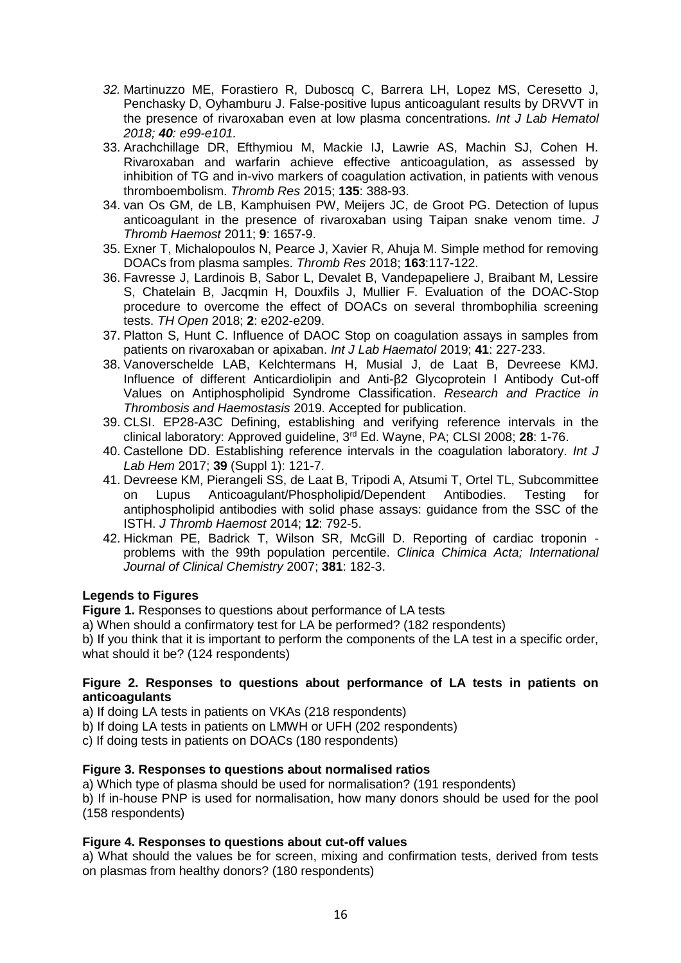- *32.* Martinuzzo ME, Forastiero R, Duboscq C, Barrera LH, Lopez MS, Ceresetto J, Penchasky D, Oyhamburu J. False-positive lupus anticoagulant results by DRVVT in the presence of rivaroxaban even at low plasma concentrations. *Int J Lab Hematol 2018; 40: e99-e101.*
- 33. Arachchillage DR, Efthymiou M, Mackie IJ, Lawrie AS, Machin SJ, Cohen H. Rivaroxaban and warfarin achieve effective anticoagulation, as assessed by inhibition of TG and in-vivo markers of coagulation activation, in patients with venous thromboembolism. *Thromb Res* 2015; **135**: 388-93.
- 34. van Os GM, de LB, Kamphuisen PW, Meijers JC, de Groot PG. Detection of lupus anticoagulant in the presence of rivaroxaban using Taipan snake venom time. *J Thromb Haemost* 2011; **9**: 1657-9.
- 35. Exner T, Michalopoulos N, Pearce J, Xavier R, Ahuja M. Simple method for removing DOACs from plasma samples. *Thromb Res* 2018; **163**:117-122.
- 36. Favresse J, Lardinois B, Sabor L, Devalet B, Vandepapeliere J, Braibant M, Lessire S, Chatelain B, Jacqmin H, Douxfils J, Mullier F. Evaluation of the DOAC-Stop procedure to overcome the effect of DOACs on several thrombophilia screening tests. *TH Open* 2018; **2**: e202-e209.
- 37. Platton S, Hunt C. Influence of DAOC Stop on coagulation assays in samples from patients on rivaroxaban or apixaban. *Int J Lab Haematol* 2019; **41**: 227-233.
- 38. Vanoverschelde LAB, Kelchtermans H, Musial J, de Laat B, Devreese KMJ. Influence of different Anticardiolipin and Anti-β2 Glycoprotein I Antibody Cut-off Values on Antiphospholipid Syndrome Classification. *Research and Practice in Thrombosis and Haemostasis* 2019. Accepted for publication.
- 39. CLSI. EP28-A3C Defining, establishing and verifying reference intervals in the clinical laboratory: Approved guideline, 3rd Ed. Wayne, PA; CLSI 2008; **28**: 1-76.
- 40. Castellone DD. Establishing reference intervals in the coagulation laboratory. *Int J Lab Hem* 2017; **39** (Suppl 1): 121-7.
- 41. Devreese KM, Pierangeli SS, de Laat B, Tripodi A, Atsumi T, Ortel TL, Subcommittee on Lupus Anticoagulant/Phospholipid/Dependent Antibodies. Testing for antiphospholipid antibodies with solid phase assays: guidance from the SSC of the ISTH. *J Thromb Haemost* 2014; **12**: 792-5.
- 42. Hickman PE, Badrick T, Wilson SR, McGill D. Reporting of cardiac troponin problems with the 99th population percentile. *Clinica Chimica Acta; International Journal of Clinical Chemistry* 2007; **381**: 182-3.

## **Legends to Figures**

**Figure 1.** Responses to questions about performance of LA tests

a) When should a confirmatory test for LA be performed? (182 respondents)

b) If you think that it is important to perform the components of the LA test in a specific order, what should it be? (124 respondents)

## **Figure 2. Responses to questions about performance of LA tests in patients on anticoagulants**

a) If doing LA tests in patients on VKAs (218 respondents)

b) If doing LA tests in patients on LMWH or UFH (202 respondents)

c) If doing tests in patients on DOACs (180 respondents)

## **Figure 3. Responses to questions about normalised ratios**

a) Which type of plasma should be used for normalisation? (191 respondents)

b) If in-house PNP is used for normalisation, how many donors should be used for the pool (158 respondents)

## **Figure 4. Responses to questions about cut-off values**

a) What should the values be for screen, mixing and confirmation tests, derived from tests on plasmas from healthy donors? (180 respondents)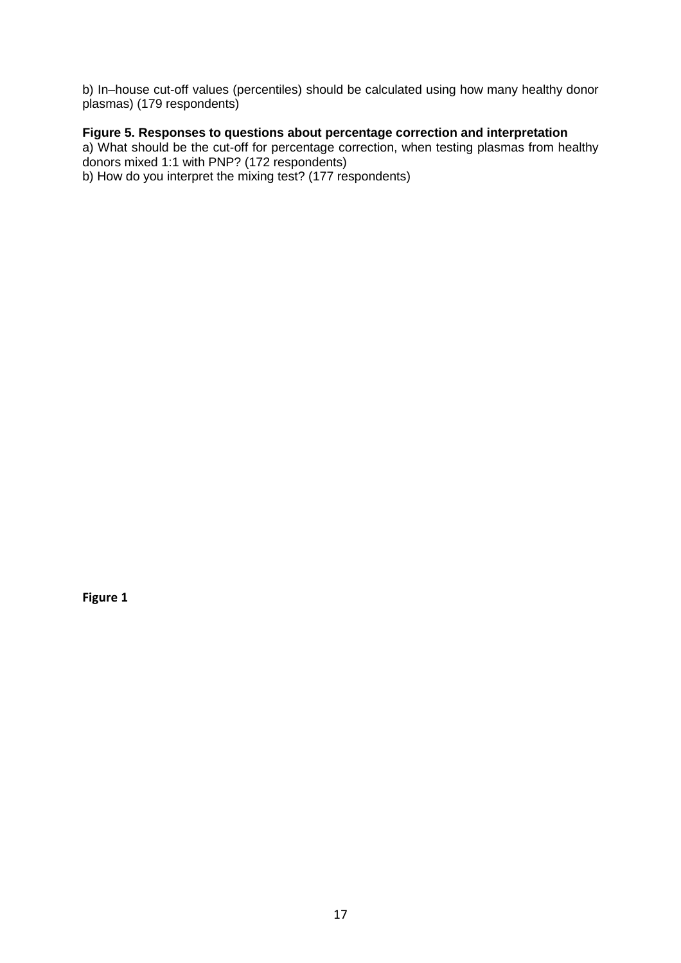b) In–house cut-off values (percentiles) should be calculated using how many healthy donor plasmas) (179 respondents)

# **Figure 5. Responses to questions about percentage correction and interpretation**

a) What should be the cut-off for percentage correction, when testing plasmas from healthy donors mixed 1:1 with PNP? (172 respondents) b) How do you interpret the mixing test? (177 respondents)

**Figure 1**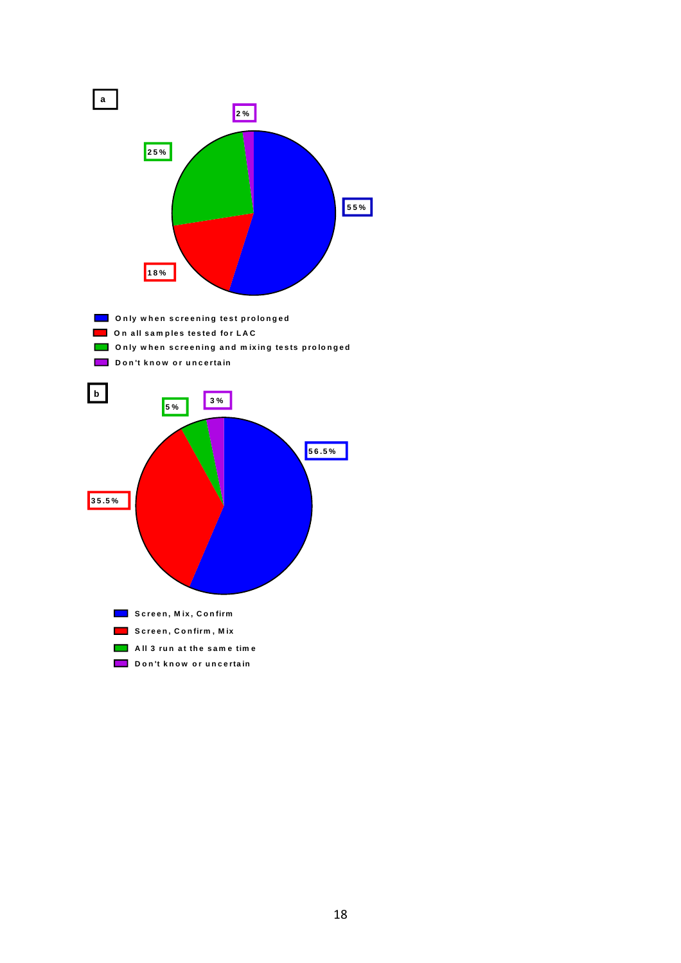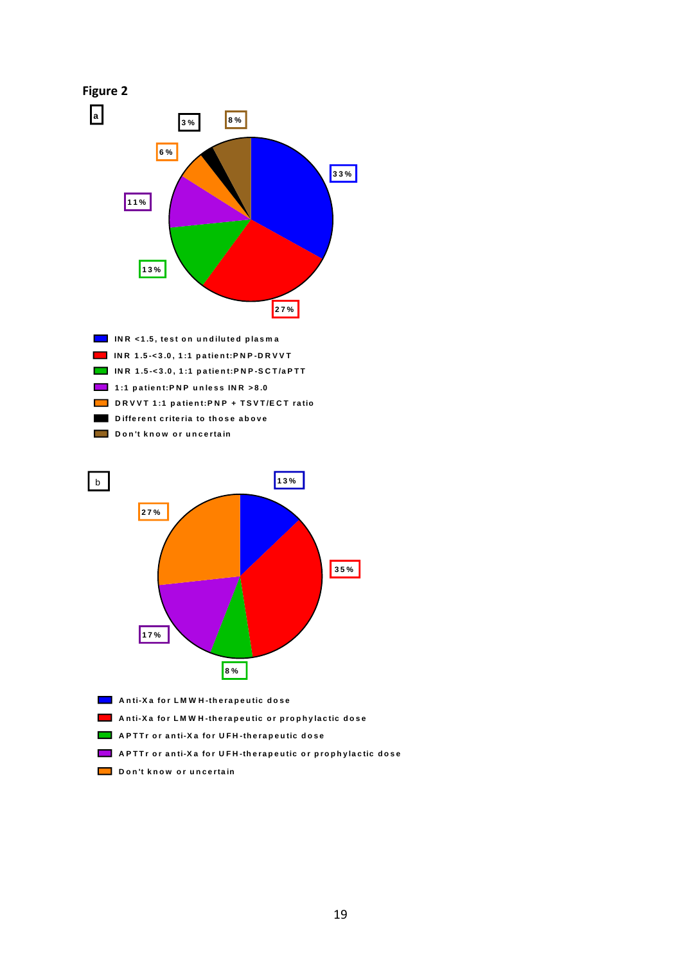

- APTTr or anti-Xa for UFH-therapeutic or prophylactic dose
- **D o n 't k n o w o r u n c e rta in**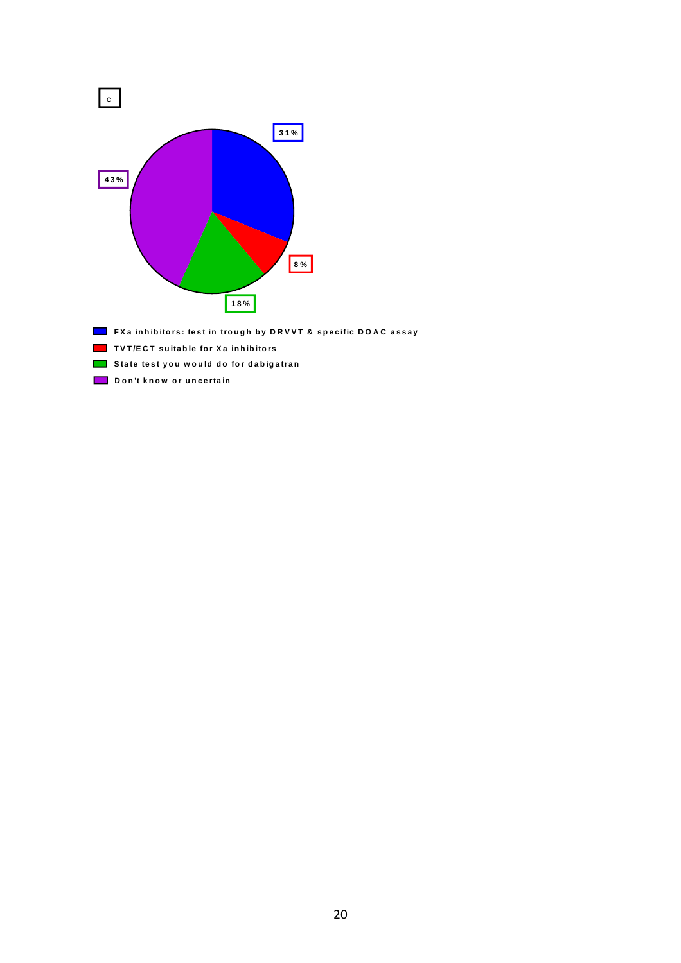

- FXa inhibitors: test in trough by DRVVT & specific DOAC assay
- **T V T /E C T s u ita b le fo r X a in h ib ito rs**
- **<u><b>** $\blacksquare$  State test you would do for dabigatran</u>
- **D o n 't k n o w o r u n c e rta in**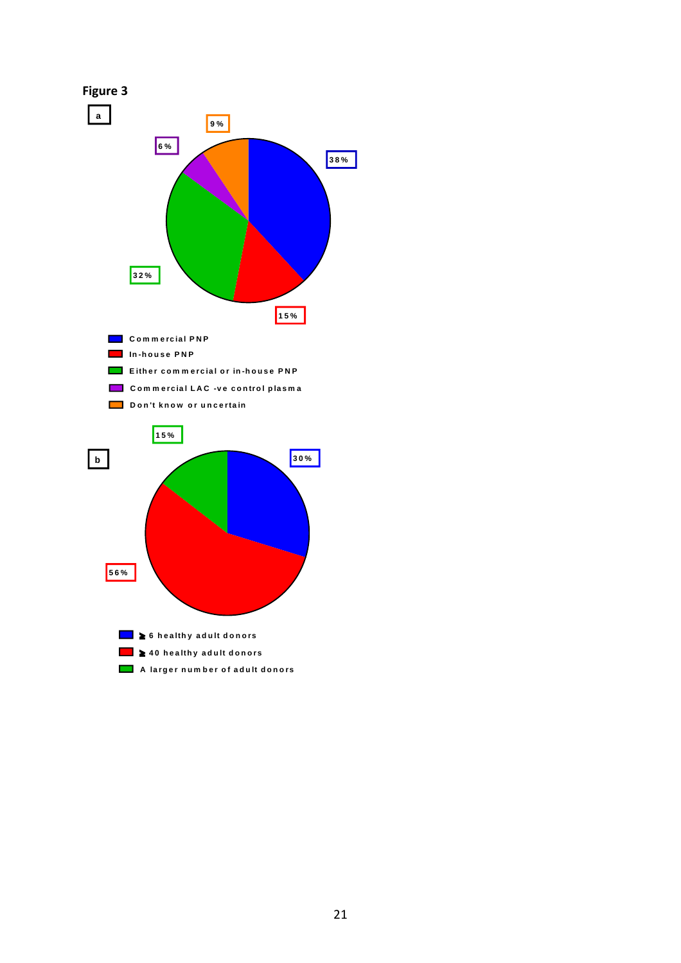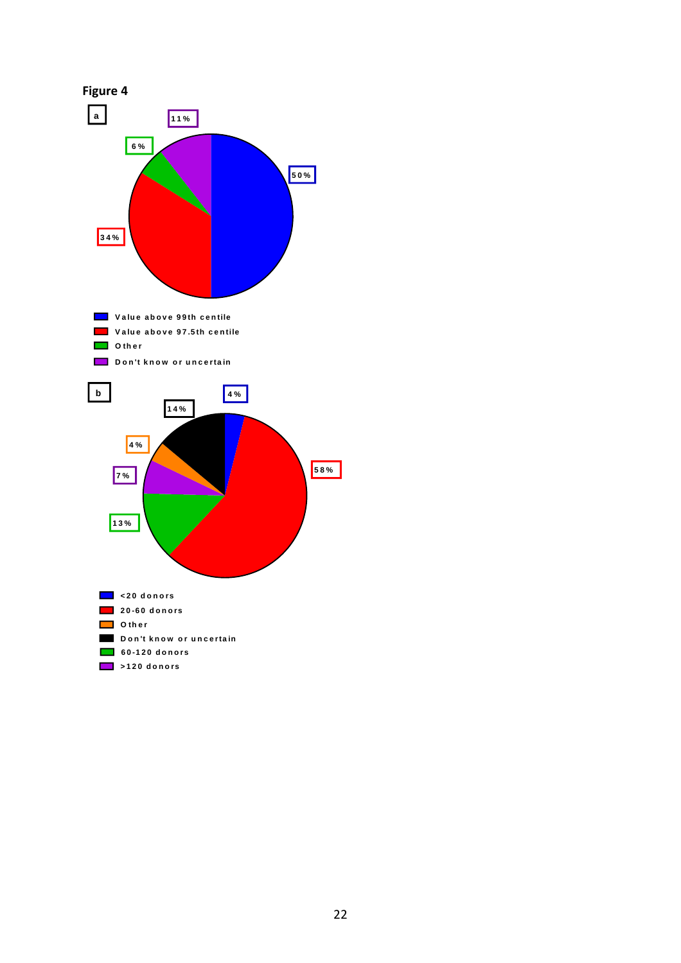